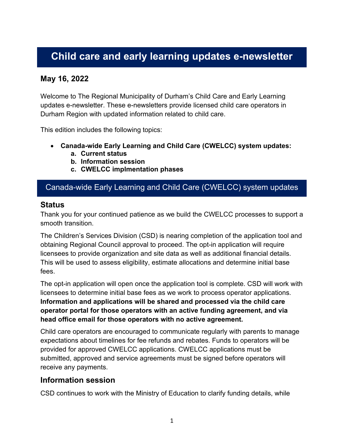# **Child care and early learning updates e-newsletter**

# **May 16, 2022**

Welcome to The Regional Municipality of Durham's Child Care and Early Learning updates e-newsletter. These e-newsletters provide licensed child care operators in Durham Region with updated information related to child care.

This edition includes the following topics:

- **Canada-wide Early Learning and Child Care (CWELCC) system updates:**
	- **a. Current status**
	- **b. Information session**
	- **c. CWELCC implmentation phases**

# Canada-wide Early Learning and Child Care (CWELCC) system updates

#### **Status**

Thank you for your continued patience as we build the CWELCC processes to support a smooth transition.

The Children's Services Division (CSD) is nearing completion of the application tool and obtaining Regional Council approval to proceed. The opt-in application will require licensees to provide organization and site data as well as additional financial details. This will be used to assess eligibility, estimate allocations and determine initial base fees.

The opt-in application will open once the application tool is complete. CSD will work with licensees to determine initial base fees as we work to process operator applications. **Information and applications will be shared and processed via the child care operator portal for those operators with an active funding agreement, and via head office email for those operators with no active agreement.**

Child care operators are encouraged to communicate regularly with parents to manage expectations about timelines for fee refunds and rebates. Funds to operators will be provided for approved CWELCC applications. CWELCC applications must be submitted, approved and service agreements must be signed before operators will receive any payments.

#### **Information session**

CSD continues to work with the Ministry of Education to clarify funding details, while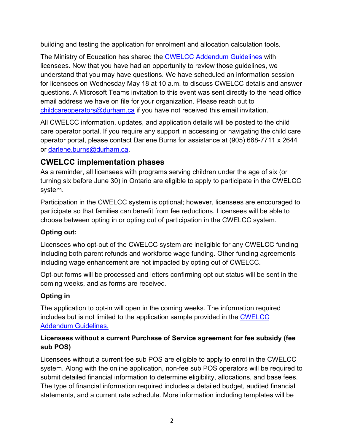building and testing the application for enrolment and allocation calculation tools.

The Ministry of Education has shared the [CWELCC Addendum Guidelines](https://efis.fma.csc.gov.on.ca/faab/Child%20Care/Guidelines/CWELCC_Addendum_April_2022.pdf) with licensees. Now that you have had an opportunity to review those guidelines, we understand that you may have questions. We have scheduled an information session for licensees on Wednesday May 18 at 10 a.m. to discuss CWELCC details and answer questions. A Microsoft Teams invitation to this event was sent directly to the head office email address we have on file for your organization. Please reach out to [childcareoperators@durham.ca](mailto:childcareoperators@durham.ca) if you have not received this email invitation.

All CWELCC information, updates, and application details will be posted to the child care operator portal. If you require any support in accessing or navigating the child care operator portal, please contact Darlene Burns for assistance at (905) 668-7711 x 2644 or [darlene.burns@durham.ca.](mailto:darlene.burns@durham.ca)

# **CWELCC implementation phases**

As a reminder, all licensees with programs serving children under the age of six (or turning six before June 30) in Ontario are eligible to apply to participate in the CWELCC system.

Participation in the CWELCC system is optional; however, licensees are encouraged to participate so that families can benefit from fee reductions. Licensees will be able to choose between opting in or opting out of participation in the CWELCC system.

#### **Opting out:**

Licensees who opt-out of the CWELCC system are ineligible for any CWELCC funding including both parent refunds and workforce wage funding. Other funding agreements including wage enhancement are not impacted by opting out of CWELCC.

Opt-out forms will be processed and letters confirming opt out status will be sent in the coming weeks, and as forms are received.

# **Opting in**

The application to opt-in will open in the coming weeks. The information required includes but is not limited to the application sample provided in the [CWELCC](https://efis.fma.csc.gov.on.ca/faab/Child%20Care/Guidelines/CWELCC_Addendum_April_2022.pdf)  [Addendum Guidelines.](https://efis.fma.csc.gov.on.ca/faab/Child%20Care/Guidelines/CWELCC_Addendum_April_2022.pdf)

#### **Licensees without a current Purchase of Service agreement for fee subsidy (fee sub POS)**

Licensees without a current fee sub POS are eligible to apply to enrol in the CWELCC system. Along with the online application, non-fee sub POS operators will be required to submit detailed financial information to determine eligibility, allocations, and base fees. The type of financial information required includes a detailed budget, audited financial statements, and a current rate schedule. More information including templates will be